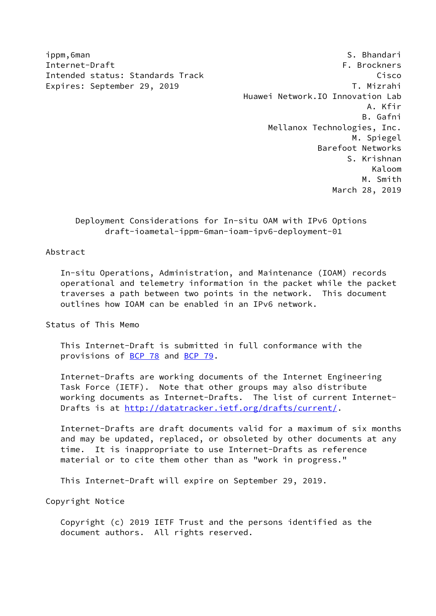ippm,6man S. Bhandari S. Bhandari S. Bhandari S. Bhandari S. Bhandari S. Bhandari S. Bhandari S. Bhandari S. S

Internet-Draft F. Brockners Intended status: Standards Track Cisco Cisco Expires: September 29, 2019 T. Mizrahi Huawei Network.IO Innovation Lab A. Kfir B. Gafni Mellanox Technologies, Inc. M. Spiegel Barefoot Networks S. Krishnan Kaloom M. Smith March 28, 2019

 Deployment Considerations for In-situ OAM with IPv6 Options draft-ioametal-ippm-6man-ioam-ipv6-deployment-01

# Abstract

 In-situ Operations, Administration, and Maintenance (IOAM) records operational and telemetry information in the packet while the packet traverses a path between two points in the network. This document outlines how IOAM can be enabled in an IPv6 network.

Status of This Memo

 This Internet-Draft is submitted in full conformance with the provisions of [BCP 78](https://datatracker.ietf.org/doc/pdf/bcp78) and [BCP 79](https://datatracker.ietf.org/doc/pdf/bcp79).

 Internet-Drafts are working documents of the Internet Engineering Task Force (IETF). Note that other groups may also distribute working documents as Internet-Drafts. The list of current Internet- Drafts is at<http://datatracker.ietf.org/drafts/current/>.

 Internet-Drafts are draft documents valid for a maximum of six months and may be updated, replaced, or obsoleted by other documents at any time. It is inappropriate to use Internet-Drafts as reference material or to cite them other than as "work in progress."

This Internet-Draft will expire on September 29, 2019.

Copyright Notice

 Copyright (c) 2019 IETF Trust and the persons identified as the document authors. All rights reserved.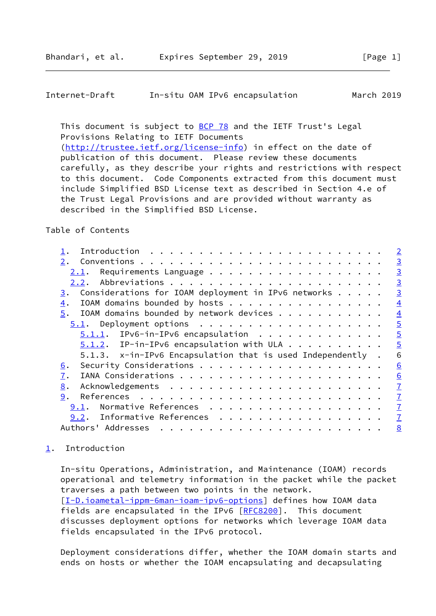```
Internet-Draft In-situ OAM IPv6 encapsulation March 2019
```
This document is subject to [BCP 78](https://datatracker.ietf.org/doc/pdf/bcp78) and the IETF Trust's Legal Provisions Relating to IETF Documents [\(http://trustee.ietf.org/license-info](http://trustee.ietf.org/license-info)) in effect on the date of publication of this document. Please review these documents carefully, as they describe your rights and restrictions with respect to this document. Code Components extracted from this document must include Simplified BSD License text as described in Section 4.e of the Trust Legal Provisions and are provided without warranty as described in the Simplified BSD License.

## Table of Contents

|                                                                        | $\overline{2}$ |
|------------------------------------------------------------------------|----------------|
| 2.                                                                     | $\overline{3}$ |
| 2.1.                                                                   | $\overline{3}$ |
| 2.2.                                                                   | $\overline{3}$ |
| Considerations for IOAM deployment in IPv6 networks<br>3.              | $\overline{3}$ |
| IOAM domains bounded by hosts<br>4.                                    | $\overline{4}$ |
| IOAM domains bounded by network devices<br>5.                          | $\overline{4}$ |
| Deployment options $\ldots \ldots \ldots \ldots \ldots \ldots$<br>5.1. | $\overline{5}$ |
| $5.1.1.$ IPv6-in-IPv6 encapsulation                                    | $\overline{5}$ |
| $5.1.2$ . IP-in-IPv6 encapsulation with ULA                            | $\overline{5}$ |
| 5.1.3. x-in-IPv6 Encapsulation that is used Independently.             | 6              |
| 6.                                                                     | 6              |
| 7.                                                                     | 6              |
| 8.                                                                     | $\overline{1}$ |
| 9.                                                                     | $\overline{1}$ |
| Normative References<br>9.1.                                           | $\overline{1}$ |
| 9.2. Informative References                                            | $\overline{1}$ |
| Authors' Addresses                                                     | 8              |
|                                                                        |                |

# <span id="page-1-0"></span>[1](#page-1-0). Introduction

 In-situ Operations, Administration, and Maintenance (IOAM) records operational and telemetry information in the packet while the packet traverses a path between two points in the network. [\[I-D.ioametal-ippm-6man-ioam-ipv6-options](#page-7-4)] defines how IOAM data fields are encapsulated in the IPv6 [\[RFC8200](https://datatracker.ietf.org/doc/pdf/rfc8200)]. This document discusses deployment options for networks which leverage IOAM data fields encapsulated in the IPv6 protocol.

 Deployment considerations differ, whether the IOAM domain starts and ends on hosts or whether the IOAM encapsulating and decapsulating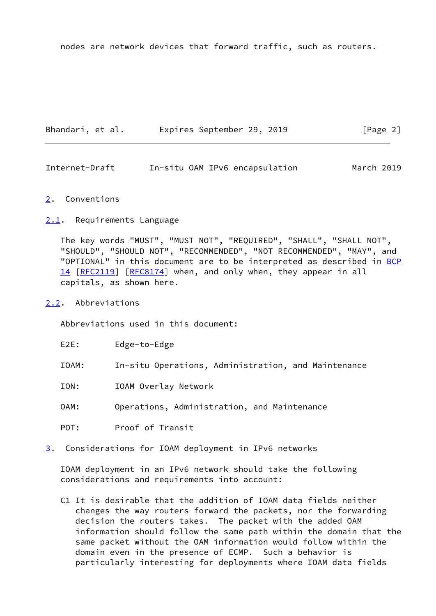nodes are network devices that forward traffic, such as routers.

|  | Bhandari, et al. | Expires September 29, 2019 | [Page 2] |
|--|------------------|----------------------------|----------|
|--|------------------|----------------------------|----------|

<span id="page-2-1"></span>Internet-Draft In-situ OAM IPv6 encapsulation March 2019

#### <span id="page-2-0"></span>[2](#page-2-0). Conventions

<span id="page-2-2"></span>[2.1](#page-2-2). Requirements Language

 The key words "MUST", "MUST NOT", "REQUIRED", "SHALL", "SHALL NOT", "SHOULD", "SHOULD NOT", "RECOMMENDED", "NOT RECOMMENDED", "MAY", and "OPTIONAL" in this document are to be interpreted as described in [BCP](https://datatracker.ietf.org/doc/pdf/bcp14) [14](https://datatracker.ietf.org/doc/pdf/bcp14) [[RFC2119\]](https://datatracker.ietf.org/doc/pdf/rfc2119) [\[RFC8174](https://datatracker.ietf.org/doc/pdf/rfc8174)] when, and only when, they appear in all capitals, as shown here.

## <span id="page-2-3"></span>[2.2](#page-2-3). Abbreviations

Abbreviations used in this document:

- E2E: Edge-to-Edge
- IOAM: In-situ Operations, Administration, and Maintenance
- ION: IOAM Overlay Network
- OAM: Operations, Administration, and Maintenance
- POT: Proof of Transit
- <span id="page-2-4"></span>[3](#page-2-4). Considerations for IOAM deployment in IPv6 networks

 IOAM deployment in an IPv6 network should take the following considerations and requirements into account:

 C1 It is desirable that the addition of IOAM data fields neither changes the way routers forward the packets, nor the forwarding decision the routers takes. The packet with the added OAM information should follow the same path within the domain that the same packet without the OAM information would follow within the domain even in the presence of ECMP. Such a behavior is particularly interesting for deployments where IOAM data fields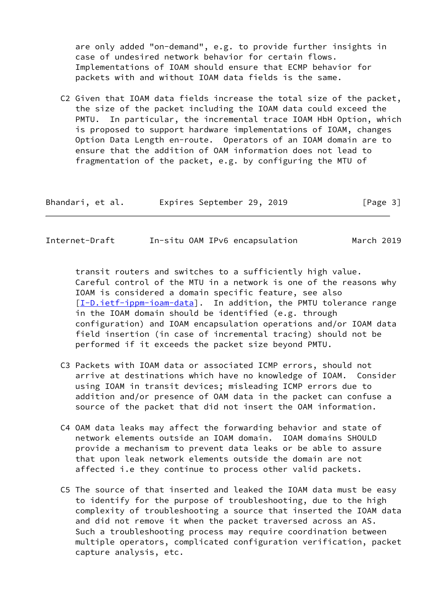are only added "on-demand", e.g. to provide further insights in case of undesired network behavior for certain flows. Implementations of IOAM should ensure that ECMP behavior for packets with and without IOAM data fields is the same.

 C2 Given that IOAM data fields increase the total size of the packet, the size of the packet including the IOAM data could exceed the PMTU. In particular, the incremental trace IOAM HbH Option, which is proposed to support hardware implementations of IOAM, changes Option Data Length en-route. Operators of an IOAM domain are to ensure that the addition of OAM information does not lead to fragmentation of the packet, e.g. by configuring the MTU of

| Bhandari, et al. |  | Expires September 29, 2019 |  |  | [Page 3] |  |
|------------------|--|----------------------------|--|--|----------|--|
|------------------|--|----------------------------|--|--|----------|--|

<span id="page-3-0"></span>

|  | Internet-Draft |  |  | In-situ OAM IPv6 encapsulation | March 2019 |  |
|--|----------------|--|--|--------------------------------|------------|--|
|--|----------------|--|--|--------------------------------|------------|--|

 transit routers and switches to a sufficiently high value. Careful control of the MTU in a network is one of the reasons why IOAM is considered a domain specific feature, see also [[I-D.ietf-ippm-ioam-data\]](#page-7-5). In addition, the PMTU tolerance range in the IOAM domain should be identified (e.g. through configuration) and IOAM encapsulation operations and/or IOAM data field insertion (in case of incremental tracing) should not be performed if it exceeds the packet size beyond PMTU.

- C3 Packets with IOAM data or associated ICMP errors, should not arrive at destinations which have no knowledge of IOAM. Consider using IOAM in transit devices; misleading ICMP errors due to addition and/or presence of OAM data in the packet can confuse a source of the packet that did not insert the OAM information.
- C4 OAM data leaks may affect the forwarding behavior and state of network elements outside an IOAM domain. IOAM domains SHOULD provide a mechanism to prevent data leaks or be able to assure that upon leak network elements outside the domain are not affected i.e they continue to process other valid packets.
- C5 The source of that inserted and leaked the IOAM data must be easy to identify for the purpose of troubleshooting, due to the high complexity of troubleshooting a source that inserted the IOAM data and did not remove it when the packet traversed across an AS. Such a troubleshooting process may require coordination between multiple operators, complicated configuration verification, packet capture analysis, etc.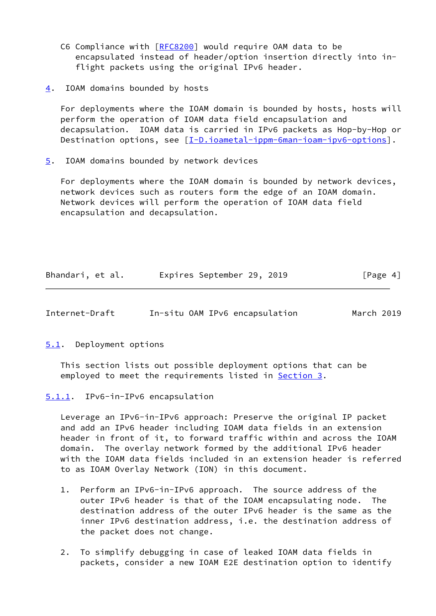- C6 Compliance with [[RFC8200\]](https://datatracker.ietf.org/doc/pdf/rfc8200) would require OAM data to be encapsulated instead of header/option insertion directly into in flight packets using the original IPv6 header.
- <span id="page-4-0"></span>[4](#page-4-0). IOAM domains bounded by hosts

 For deployments where the IOAM domain is bounded by hosts, hosts will perform the operation of IOAM data field encapsulation and decapsulation. IOAM data is carried in IPv6 packets as Hop-by-Hop or Destination options, see [\[I-D.ioametal-ippm-6man-ioam-ipv6-options](#page-7-4)].

<span id="page-4-1"></span>[5](#page-4-1). IOAM domains bounded by network devices

 For deployments where the IOAM domain is bounded by network devices, network devices such as routers form the edge of an IOAM domain. Network devices will perform the operation of IOAM data field encapsulation and decapsulation.

| Bhandari, et al. |  | Expires September 29, 2019 |  | [Page 4] |
|------------------|--|----------------------------|--|----------|
|------------------|--|----------------------------|--|----------|

<span id="page-4-3"></span>Internet-Draft In-situ OAM IPv6 encapsulation March 2019

<span id="page-4-2"></span>[5.1](#page-4-2). Deployment options

 This section lists out possible deployment options that can be employed to meet the requirements listed in [Section 3.](#page-2-4)

<span id="page-4-4"></span>[5.1.1](#page-4-4). IPv6-in-IPv6 encapsulation

 Leverage an IPv6-in-IPv6 approach: Preserve the original IP packet and add an IPv6 header including IOAM data fields in an extension header in front of it, to forward traffic within and across the IOAM domain. The overlay network formed by the additional IPv6 header with the IOAM data fields included in an extension header is referred to as IOAM Overlay Network (ION) in this document.

- 1. Perform an IPv6-in-IPv6 approach. The source address of the outer IPv6 header is that of the IOAM encapsulating node. The destination address of the outer IPv6 header is the same as the inner IPv6 destination address, i.e. the destination address of the packet does not change.
- 2. To simplify debugging in case of leaked IOAM data fields in packets, consider a new IOAM E2E destination option to identify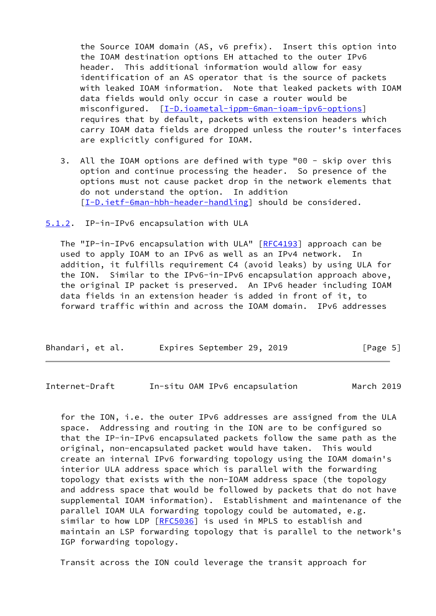the Source IOAM domain (AS, v6 prefix). Insert this option into the IOAM destination options EH attached to the outer IPv6 header. This additional information would allow for easy identification of an AS operator that is the source of packets with leaked IOAM information. Note that leaked packets with IOAM data fields would only occur in case a router would be misconfigured. [\[I-D.ioametal-ippm-6man-ioam-ipv6-options](#page-7-4)] requires that by default, packets with extension headers which carry IOAM data fields are dropped unless the router's interfaces are explicitly configured for IOAM.

 3. All the IOAM options are defined with type "00 - skip over this option and continue processing the header. So presence of the options must not cause packet drop in the network elements that do not understand the option. In addition [\[I-D.ietf-6man-hbh-header-handling](#page-7-6)] should be considered.

## <span id="page-5-0"></span>[5.1.2](#page-5-0). IP-in-IPv6 encapsulation with ULA

 The "IP-in-IPv6 encapsulation with ULA" [\[RFC4193](https://datatracker.ietf.org/doc/pdf/rfc4193)] approach can be used to apply IOAM to an IPv6 as well as an IPv4 network. In addition, it fulfills requirement C4 (avoid leaks) by using ULA for the ION. Similar to the IPv6-in-IPv6 encapsulation approach above, the original IP packet is preserved. An IPv6 header including IOAM data fields in an extension header is added in front of it, to forward traffic within and across the IOAM domain. IPv6 addresses

| Bhandari, et al. |  | Expires September 29, 2019 |  |  |  | [Page 5] |  |
|------------------|--|----------------------------|--|--|--|----------|--|
|------------------|--|----------------------------|--|--|--|----------|--|

<span id="page-5-1"></span>Internet-Draft In-situ OAM IPv6 encapsulation March 2019

 for the ION, i.e. the outer IPv6 addresses are assigned from the ULA space. Addressing and routing in the ION are to be configured so that the IP-in-IPv6 encapsulated packets follow the same path as the original, non-encapsulated packet would have taken. This would create an internal IPv6 forwarding topology using the IOAM domain's interior ULA address space which is parallel with the forwarding topology that exists with the non-IOAM address space (the topology and address space that would be followed by packets that do not have supplemental IOAM information). Establishment and maintenance of the parallel IOAM ULA forwarding topology could be automated, e.g. similar to how LDP [[RFC5036\]](https://datatracker.ietf.org/doc/pdf/rfc5036) is used in MPLS to establish and maintain an LSP forwarding topology that is parallel to the network's IGP forwarding topology.

Transit across the ION could leverage the transit approach for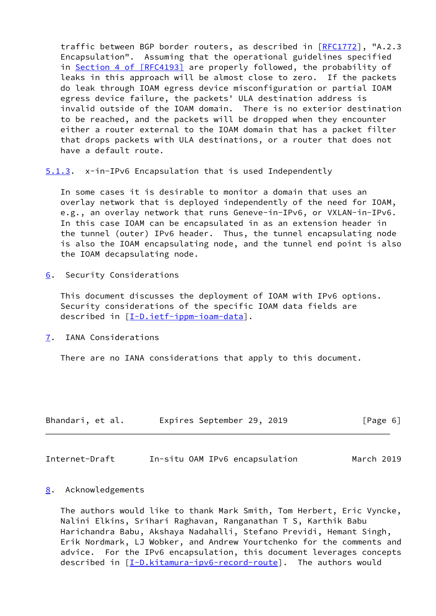traffic between BGP border routers, as described in [\[RFC1772](https://datatracker.ietf.org/doc/pdf/rfc1772)], "A.2.3 Encapsulation". Assuming that the operational guidelines specified in Section [4 of \[RFC4193\]](https://datatracker.ietf.org/doc/pdf/rfc4193#section-4) are properly followed, the probability of leaks in this approach will be almost close to zero. If the packets do leak through IOAM egress device misconfiguration or partial IOAM egress device failure, the packets' ULA destination address is invalid outside of the IOAM domain. There is no exterior destination to be reached, and the packets will be dropped when they encounter either a router external to the IOAM domain that has a packet filter that drops packets with ULA destinations, or a router that does not have a default route.

<span id="page-6-4"></span>[5.1.3](#page-6-4). x-in-IPv6 Encapsulation that is used Independently

 In some cases it is desirable to monitor a domain that uses an overlay network that is deployed independently of the need for IOAM, e.g., an overlay network that runs Geneve-in-IPv6, or VXLAN-in-IPv6. In this case IOAM can be encapsulated in as an extension header in the tunnel (outer) IPv6 header. Thus, the tunnel encapsulating node is also the IOAM encapsulating node, and the tunnel end point is also the IOAM decapsulating node.

<span id="page-6-0"></span>[6](#page-6-0). Security Considerations

 This document discusses the deployment of IOAM with IPv6 options. Security considerations of the specific IOAM data fields are described in [\[I-D.ietf-ippm-ioam-data](#page-7-5)].

<span id="page-6-1"></span>[7](#page-6-1). IANA Considerations

There are no IANA considerations that apply to this document.

| Bhandari, et al. | Expires September 29, 2019 | [Page 6] |
|------------------|----------------------------|----------|
|------------------|----------------------------|----------|

<span id="page-6-3"></span>Internet-Draft In-situ OAM IPv6 encapsulation March 2019

#### <span id="page-6-2"></span>[8](#page-6-2). Acknowledgements

 The authors would like to thank Mark Smith, Tom Herbert, Eric Vyncke, Nalini Elkins, Srihari Raghavan, Ranganathan T S, Karthik Babu Harichandra Babu, Akshaya Nadahalli, Stefano Previdi, Hemant Singh, Erik Nordmark, LJ Wobker, and Andrew Yourtchenko for the comments and advice. For the IPv6 encapsulation, this document leverages concepts described in [\[I-D.kitamura-ipv6-record-route](#page-7-7)]. The authors would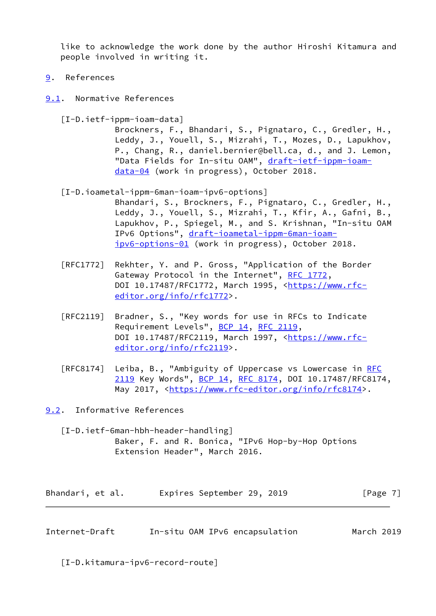like to acknowledge the work done by the author Hiroshi Kitamura and people involved in writing it.

- <span id="page-7-0"></span>[9](#page-7-0). References
- <span id="page-7-5"></span><span id="page-7-1"></span>[9.1](#page-7-1). Normative References
	- [I-D.ietf-ippm-ioam-data]

 Brockners, F., Bhandari, S., Pignataro, C., Gredler, H., Leddy, J., Youell, S., Mizrahi, T., Mozes, D., Lapukhov, P., Chang, R., daniel.bernier@bell.ca, d., and J. Lemon, "Data Fields for In-situ OAM", [draft-ietf-ippm-ioam](https://datatracker.ietf.org/doc/pdf/draft-ietf-ippm-ioam-data-04) [data-04](https://datatracker.ietf.org/doc/pdf/draft-ietf-ippm-ioam-data-04) (work in progress), October 2018.

<span id="page-7-4"></span>[I-D.ioametal-ippm-6man-ioam-ipv6-options]

 Bhandari, S., Brockners, F., Pignataro, C., Gredler, H., Leddy, J., Youell, S., Mizrahi, T., Kfir, A., Gafni, B., Lapukhov, P., Spiegel, M., and S. Krishnan, "In-situ OAM IPv6 Options", [draft-ioametal-ippm-6man-ioam](https://datatracker.ietf.org/doc/pdf/draft-ioametal-ippm-6man-ioam-ipv6-options-01) [ipv6-options-01](https://datatracker.ietf.org/doc/pdf/draft-ioametal-ippm-6man-ioam-ipv6-options-01) (work in progress), October 2018.

- [RFC1772] Rekhter, Y. and P. Gross, "Application of the Border Gateway Protocol in the Internet", [RFC 1772](https://datatracker.ietf.org/doc/pdf/rfc1772), DOI 10.17487/RFC1772, March 1995, [<https://www.rfc](https://www.rfc-editor.org/info/rfc1772) [editor.org/info/rfc1772](https://www.rfc-editor.org/info/rfc1772)>.
- [RFC2119] Bradner, S., "Key words for use in RFCs to Indicate Requirement Levels", [BCP 14](https://datatracker.ietf.org/doc/pdf/bcp14), [RFC 2119](https://datatracker.ietf.org/doc/pdf/rfc2119), DOI 10.17487/RFC2119, March 1997, [<https://www.rfc](https://www.rfc-editor.org/info/rfc2119) [editor.org/info/rfc2119](https://www.rfc-editor.org/info/rfc2119)>.
- [RFC8174] Leiba, B., "Ambiguity of Uppercase vs Lowercase in [RFC](https://datatracker.ietf.org/doc/pdf/rfc2119) [2119](https://datatracker.ietf.org/doc/pdf/rfc2119) Key Words", [BCP 14](https://datatracker.ietf.org/doc/pdf/bcp14), [RFC 8174,](https://datatracker.ietf.org/doc/pdf/rfc8174) DOI 10.17487/RFC8174, May 2017, [<https://www.rfc-editor.org/info/rfc8174](https://www.rfc-editor.org/info/rfc8174)>.

<span id="page-7-2"></span>[9.2](#page-7-2). Informative References

<span id="page-7-6"></span> [I-D.ietf-6man-hbh-header-handling] Baker, F. and R. Bonica, "IPv6 Hop-by-Hop Options Extension Header", March 2016.

Bhandari, et al. Expires September 29, 2019 [Page 7]

<span id="page-7-3"></span>Internet-Draft In-situ OAM IPv6 encapsulation March 2019

<span id="page-7-7"></span>[I-D.kitamura-ipv6-record-route]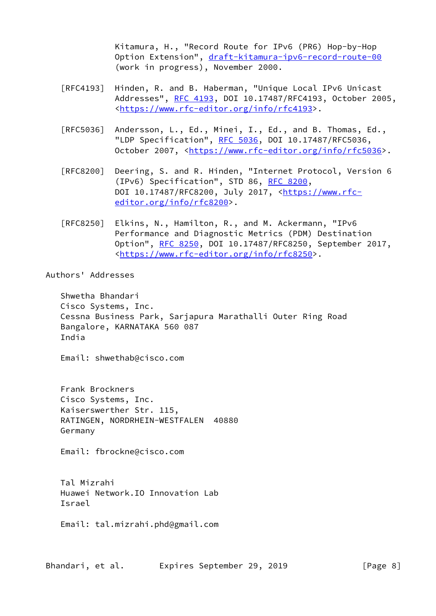Kitamura, H., "Record Route for IPv6 (PR6) Hop-by-Hop Option Extension", [draft-kitamura-ipv6-record-route-00](https://datatracker.ietf.org/doc/pdf/draft-kitamura-ipv6-record-route-00) (work in progress), November 2000.

- [RFC4193] Hinden, R. and B. Haberman, "Unique Local IPv6 Unicast Addresses", [RFC 4193,](https://datatracker.ietf.org/doc/pdf/rfc4193) DOI 10.17487/RFC4193, October 2005, <[https://www.rfc-editor.org/info/rfc4193>](https://www.rfc-editor.org/info/rfc4193).
- [RFC5036] Andersson, L., Ed., Minei, I., Ed., and B. Thomas, Ed., "LDP Specification", [RFC 5036](https://datatracker.ietf.org/doc/pdf/rfc5036), DOI 10.17487/RFC5036, October 2007, [<https://www.rfc-editor.org/info/rfc5036](https://www.rfc-editor.org/info/rfc5036)>.
- [RFC8200] Deering, S. and R. Hinden, "Internet Protocol, Version 6 (IPv6) Specification", STD 86, [RFC 8200](https://datatracker.ietf.org/doc/pdf/rfc8200), DOI 10.17487/RFC8200, July 2017, [<https://www.rfc](https://www.rfc-editor.org/info/rfc8200) [editor.org/info/rfc8200](https://www.rfc-editor.org/info/rfc8200)>.
- [RFC8250] Elkins, N., Hamilton, R., and M. Ackermann, "IPv6 Performance and Diagnostic Metrics (PDM) Destination Option", [RFC 8250,](https://datatracker.ietf.org/doc/pdf/rfc8250) DOI 10.17487/RFC8250, September 2017, <[https://www.rfc-editor.org/info/rfc8250>](https://www.rfc-editor.org/info/rfc8250).

Authors' Addresses

 Shwetha Bhandari Cisco Systems, Inc. Cessna Business Park, Sarjapura Marathalli Outer Ring Road Bangalore, KARNATAKA 560 087 India

Email: shwethab@cisco.com

 Frank Brockners Cisco Systems, Inc. Kaiserswerther Str. 115, RATINGEN, NORDRHEIN-WESTFALEN 40880 Germany

Email: fbrockne@cisco.com

 Tal Mizrahi Huawei Network.IO Innovation Lab Israel

Email: tal.mizrahi.phd@gmail.com

Bhandari, et al. Expires September 29, 2019 [Page 8]